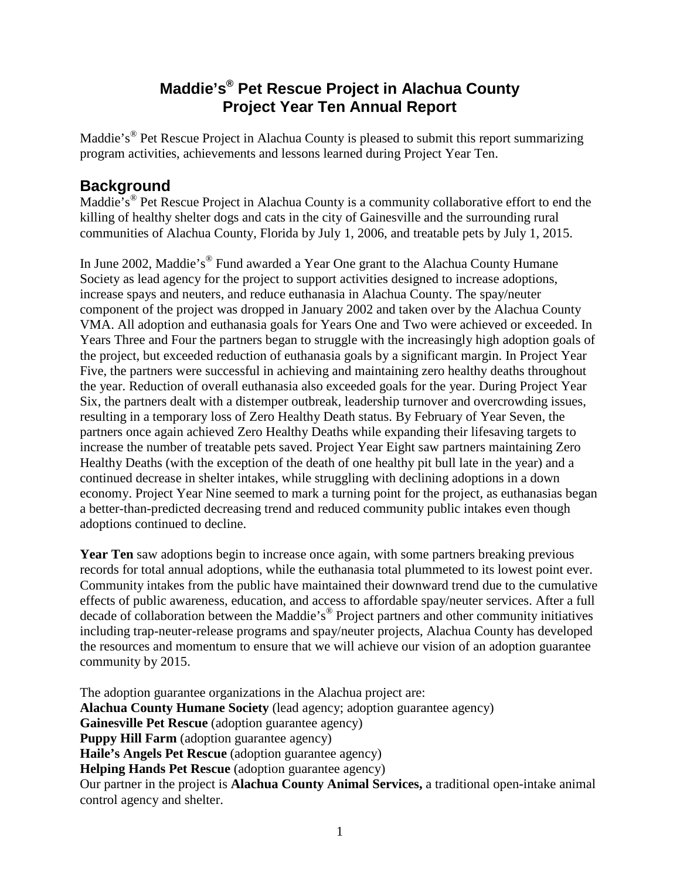## **Maddie's® Pet Rescue Project in Alachua County Project Year Ten Annual Report**

Maddie's® Pet Rescue Project in Alachua County is pleased to submit this report summarizing program activities, achievements and lessons learned during Project Year Ten.

### **Background**

Maddie's<sup>®</sup> Pet Rescue Project in Alachua County is a community collaborative effort to end the killing of healthy shelter dogs and cats in the city of Gainesville and the surrounding rural communities of Alachua County, Florida by July 1, 2006, and treatable pets by July 1, 2015.

In June 2002, Maddie's<sup>®</sup> Fund awarded a Year One grant to the Alachua County Humane Society as lead agency for the project to support activities designed to increase adoptions, increase spays and neuters, and reduce euthanasia in Alachua County. The spay/neuter component of the project was dropped in January 2002 and taken over by the Alachua County VMA. All adoption and euthanasia goals for Years One and Two were achieved or exceeded. In Years Three and Four the partners began to struggle with the increasingly high adoption goals of the project, but exceeded reduction of euthanasia goals by a significant margin. In Project Year Five, the partners were successful in achieving and maintaining zero healthy deaths throughout the year. Reduction of overall euthanasia also exceeded goals for the year. During Project Year Six, the partners dealt with a distemper outbreak, leadership turnover and overcrowding issues, resulting in a temporary loss of Zero Healthy Death status. By February of Year Seven, the partners once again achieved Zero Healthy Deaths while expanding their lifesaving targets to increase the number of treatable pets saved. Project Year Eight saw partners maintaining Zero Healthy Deaths (with the exception of the death of one healthy pit bull late in the year) and a continued decrease in shelter intakes, while struggling with declining adoptions in a down economy. Project Year Nine seemed to mark a turning point for the project, as euthanasias began a better-than-predicted decreasing trend and reduced community public intakes even though adoptions continued to decline.

Year Ten saw adoptions begin to increase once again, with some partners breaking previous records for total annual adoptions, while the euthanasia total plummeted to its lowest point ever. Community intakes from the public have maintained their downward trend due to the cumulative effects of public awareness, education, and access to affordable spay/neuter services. After a full decade of collaboration between the Maddie's® Project partners and other community initiatives including trap-neuter-release programs and spay/neuter projects, Alachua County has developed the resources and momentum to ensure that we will achieve our vision of an adoption guarantee community by 2015.

The adoption guarantee organizations in the Alachua project are: **Alachua County Humane Society** (lead agency; adoption guarantee agency) **Gainesville Pet Rescue** (adoption guarantee agency) **Puppy Hill Farm** (adoption guarantee agency) **Haile's Angels Pet Rescue** (adoption guarantee agency) **Helping Hands Pet Rescue** (adoption guarantee agency) Our partner in the project is **Alachua County Animal Services,** a traditional open-intake animal control agency and shelter.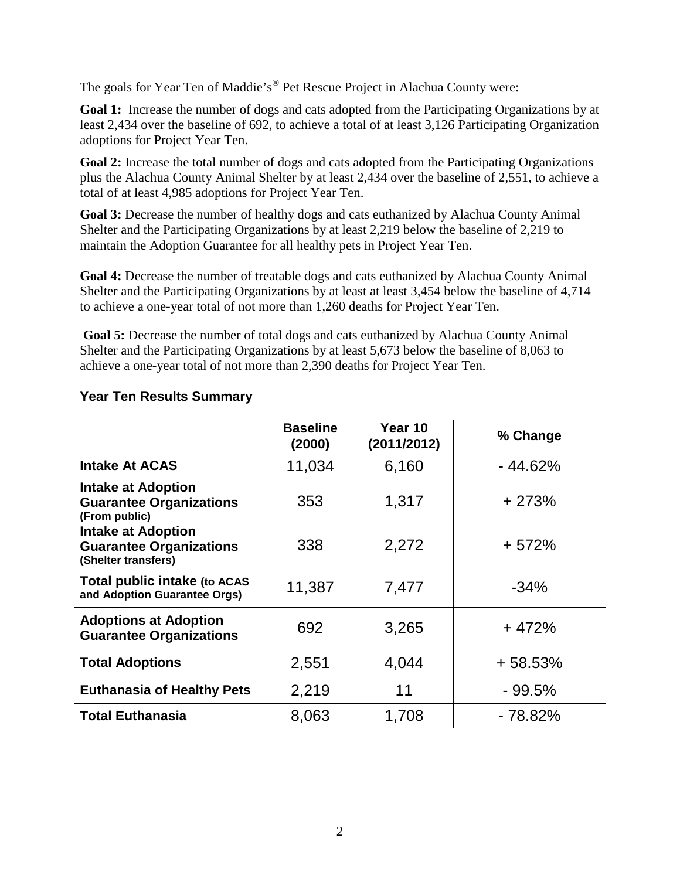The goals for Year Ten of Maddie's ® Pet Rescue Project in Alachua County were:

**Goal 1:** Increase the number of dogs and cats adopted from the Participating Organizations by at least 2,434 over the baseline of 692, to achieve a total of at least 3,126 Participating Organization adoptions for Project Year Ten.

Goal 2: Increase the total number of dogs and cats adopted from the Participating Organizations plus the Alachua County Animal Shelter by at least 2,434 over the baseline of 2,551, to achieve a total of at least 4,985 adoptions for Project Year Ten.

Goal 3: Decrease the number of healthy dogs and cats euthanized by Alachua County Animal Shelter and the Participating Organizations by at least 2,219 below the baseline of 2,219 to maintain the Adoption Guarantee for all healthy pets in Project Year Ten.

**Goal 4:** Decrease the number of treatable dogs and cats euthanized by Alachua County Animal Shelter and the Participating Organizations by at least at least 3,454 below the baseline of 4,714 to achieve a one-year total of not more than 1,260 deaths for Project Year Ten.

**Goal 5:** Decrease the number of total dogs and cats euthanized by Alachua County Animal Shelter and the Participating Organizations by at least 5,673 below the baseline of 8,063 to achieve a one-year total of not more than 2,390 deaths for Project Year Ten.

|                                                                                    | <b>Baseline</b><br>(2000) | Year 10<br>(2011/2012) | % Change  |
|------------------------------------------------------------------------------------|---------------------------|------------------------|-----------|
| <b>Intake At ACAS</b>                                                              | 11,034                    | 6,160                  | $-44.62%$ |
| <b>Intake at Adoption</b><br><b>Guarantee Organizations</b><br>(From public)       | 353                       | 1,317                  | $+273%$   |
| <b>Intake at Adoption</b><br><b>Guarantee Organizations</b><br>(Shelter transfers) | 338                       | 2,272                  | $+572%$   |
| Total public intake (to ACAS<br>and Adoption Guarantee Orgs)                       | 11,387                    | 7,477                  | $-34%$    |
| <b>Adoptions at Adoption</b><br><b>Guarantee Organizations</b>                     | 692                       | 3,265                  | $+472%$   |
| <b>Total Adoptions</b>                                                             | 2,551                     | 4,044                  | $+58.53%$ |
| <b>Euthanasia of Healthy Pets</b>                                                  | 2,219                     | 11                     | $-99.5%$  |
| <b>Total Euthanasia</b>                                                            | 8,063                     | 1,708                  | - 78.82%  |

### **Year Ten Results Summary**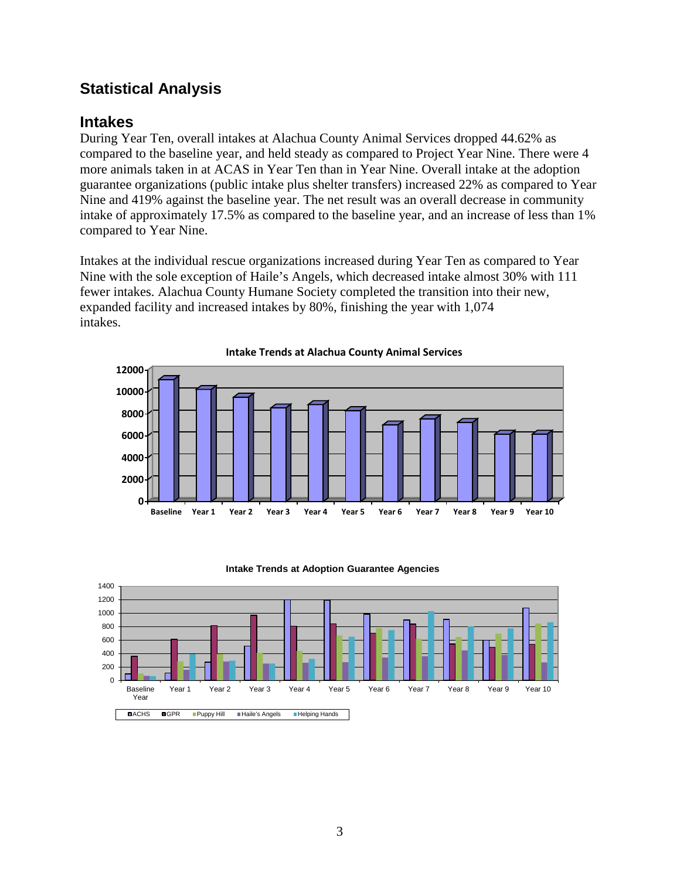## **Statistical Analysis**

## **Intakes**

During Year Ten, overall intakes at Alachua County Animal Services dropped 44.62% as compared to the baseline year, and held steady as compared to Project Year Nine. There were 4 more animals taken in at ACAS in Year Ten than in Year Nine. Overall intake at the adoption guarantee organizations (public intake plus shelter transfers) increased 22% as compared to Year Nine and 419% against the baseline year. The net result was an overall decrease in community intake of approximately 17.5% as compared to the baseline year, and an increase of less than 1% compared to Year Nine.

Intakes at the individual rescue organizations increased during Year Ten as compared to Year Nine with the sole exception of Haile's Angels, which decreased intake almost 30% with 111 fewer intakes. Alachua County Humane Society completed the transition into their new, expanded facility and increased intakes by 80%, finishing the year with 1,074 intakes.





#### **Intake Trends at Adoption Guarantee Agencies**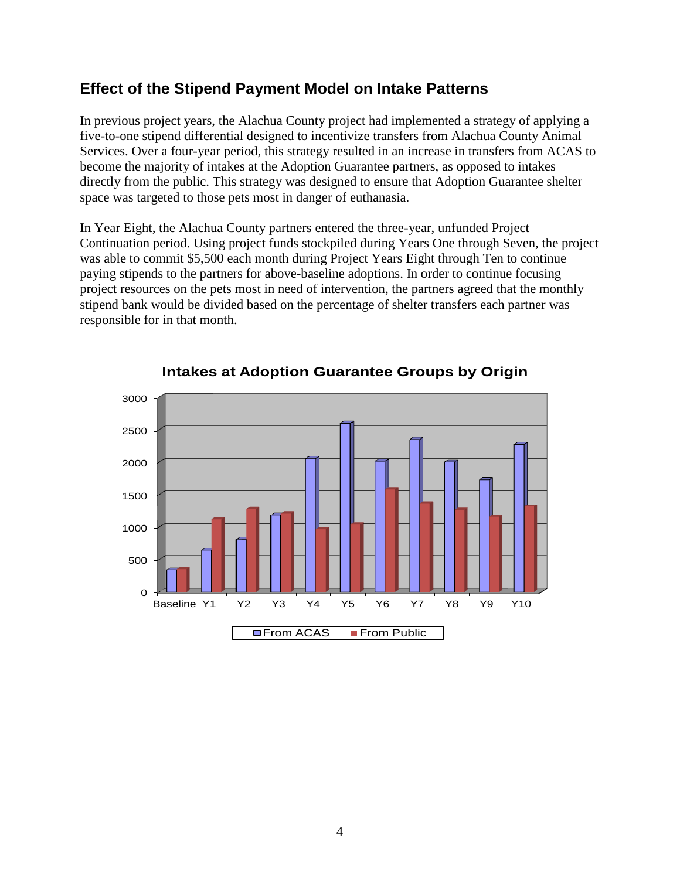## **Effect of the Stipend Payment Model on Intake Patterns**

In previous project years, the Alachua County project had implemented a strategy of applying a five-to-one stipend differential designed to incentivize transfers from Alachua County Animal Services. Over a four-year period, this strategy resulted in an increase in transfers from ACAS to become the majority of intakes at the Adoption Guarantee partners, as opposed to intakes directly from the public. This strategy was designed to ensure that Adoption Guarantee shelter space was targeted to those pets most in danger of euthanasia.

In Year Eight, the Alachua County partners entered the three-year, unfunded Project Continuation period. Using project funds stockpiled during Years One through Seven, the project was able to commit \$5,500 each month during Project Years Eight through Ten to continue paying stipends to the partners for above-baseline adoptions. In order to continue focusing project resources on the pets most in need of intervention, the partners agreed that the monthly stipend bank would be divided based on the percentage of shelter transfers each partner was responsible for in that month.



**Intakes at Adoption Guarantee Groups by Origin**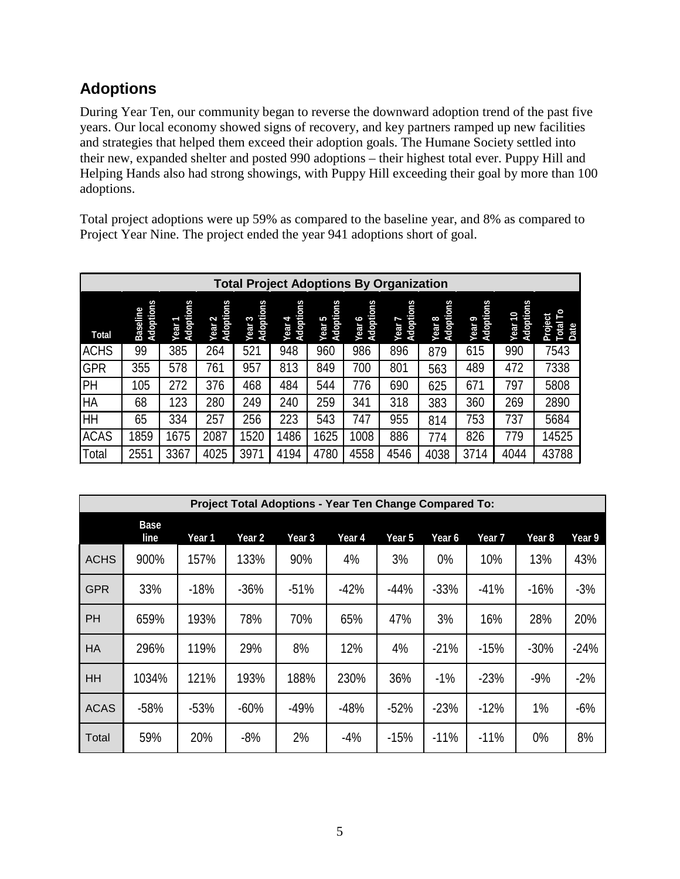## **Adoptions**

During Year Ten, our community began to reverse the downward adoption trend of the past five years. Our local economy showed signs of recovery, and key partners ramped up new facilities and strategies that helped them exceed their adoption goals. The Humane Society settled into their new, expanded shelter and posted 990 adoptions – their highest total ever. Puppy Hill and Helping Hands also had strong showings, with Puppy Hill exceeding their goal by more than 100 adoptions.

Total project adoptions were up 59% as compared to the baseline year, and 8% as compared to Project Year Nine. The project ended the year 941 adoptions short of goal.

|              | <b>Total Project Adoptions By Organization</b> |                                |                                |                                |                        |                     |                        |                        |                                |                     |                         |                                  |
|--------------|------------------------------------------------|--------------------------------|--------------------------------|--------------------------------|------------------------|---------------------|------------------------|------------------------|--------------------------------|---------------------|-------------------------|----------------------------------|
| <b>Total</b> | Adoptions<br>Baseline                          | Adoptions<br>Year <sup>-</sup> | Adoptions<br>Year <sub>2</sub> | Adoptions<br>Year <sub>3</sub> | Adoptions<br>Þ<br>Year | Adoptions<br>Year 5 | Adoptions<br>ç<br>Year | Adoptions<br>ſ<br>Year | Adoptions<br>Year <sub>8</sub> | Adoptions<br>Year 9 | Adoptions<br>01<br>Year | p<br>Project<br><b>同</b><br>Date |
| <b>ACHS</b>  | 99                                             | 385                            | 264                            | 521                            | 948                    | 960                 | 986                    | 896                    | 879                            | 615                 | 990                     | 7543                             |
| <b>GPR</b>   | 355                                            | 578                            | 761                            | 957                            | 813                    | 849                 | 700                    | 801                    | 563                            | 489                 | 472                     | 7338                             |
| PH           | 105                                            | 272                            | 376                            | 468                            | 484                    | 544                 | 776                    | 690                    | 625                            | 67 <sub>1</sub>     | 797                     | 5808                             |
| <b>HA</b>    | 68                                             | 123                            | 280                            | 249                            | 240                    | 259                 | 341                    | 318                    | 383                            | 360                 | 269                     | 2890                             |
| HH           | 65                                             | 334                            | 257                            | 256                            | 223                    | 543                 | 747                    | 955                    | 814                            | 753                 | 737                     | 5684                             |
| <b>ACAS</b>  | 1859                                           | 1675                           | 2087                           | 520                            | 486                    | 625                 | 1008                   | 886                    | 774                            | 826                 | 779                     | 14525                            |
| Total        | $255^{\circ}$                                  | 3367                           | 4025                           | 3971                           | 4194                   | 4780                | 4558                   | 4546                   | 4038                           | 3714                | 4044                    | 43788                            |

|             | <b>Project Total Adoptions - Year Ten Change Compared To:</b> |        |        |        |        |        |        |        |                   |        |  |
|-------------|---------------------------------------------------------------|--------|--------|--------|--------|--------|--------|--------|-------------------|--------|--|
|             | <b>Base</b><br>line                                           | Year 1 | Year 2 | Year 3 | Year 4 | Year 5 | Year 6 | Year 7 | Year <sub>8</sub> | Year 9 |  |
| <b>ACHS</b> | 900%                                                          | 157%   | 133%   | 90%    | 4%     | 3%     | 0%     | 10%    | 13%               | 43%    |  |
| <b>GPR</b>  | 33%                                                           | $-18%$ | $-36%$ | $-51%$ | $-42%$ | $-44%$ | $-33%$ | $-41%$ | $-16%$            | $-3%$  |  |
| <b>PH</b>   | 659%                                                          | 193%   | 78%    | 70%    | 65%    | 47%    | 3%     | 16%    | 28%               | 20%    |  |
| <b>HA</b>   | 296%                                                          | 119%   | 29%    | 8%     | 12%    | 4%     | $-21%$ | $-15%$ | $-30%$            | $-24%$ |  |
| HH          | 1034%                                                         | 121%   | 193%   | 188%   | 230%   | 36%    | $-1%$  | $-23%$ | $-9%$             | $-2%$  |  |
| <b>ACAS</b> | $-58%$                                                        | $-53%$ | $-60%$ | $-49%$ | $-48%$ | $-52%$ | $-23%$ | $-12%$ | 1%                | $-6%$  |  |
| Total       | 59%                                                           | 20%    | $-8%$  | 2%     | $-4%$  | $-15%$ | $-11%$ | $-11%$ | 0%                | 8%     |  |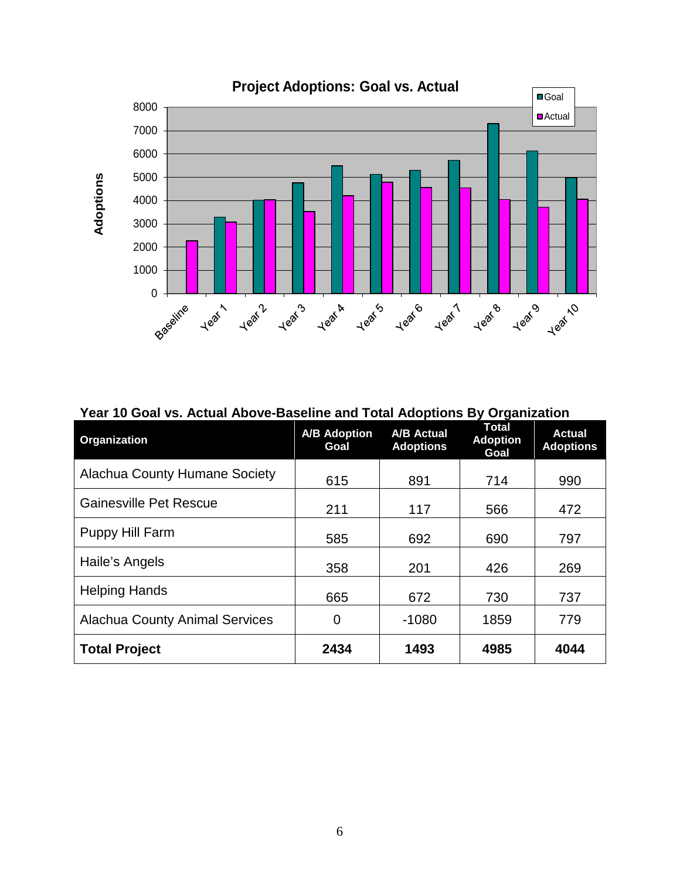

**Year 10 Goal vs. Actual Above-Baseline and Total Adoptions By Organization**

| Organization                          | <b>A/B Adoption</b><br>Goal | <b>A/B Actual</b><br><b>Adoptions</b> | <b>Total</b><br><b>Adoption</b><br>Goal | <b>Actual</b><br><b>Adoptions</b> |
|---------------------------------------|-----------------------------|---------------------------------------|-----------------------------------------|-----------------------------------|
| <b>Alachua County Humane Society</b>  | 615                         | 891                                   | 714                                     | 990                               |
| <b>Gainesville Pet Rescue</b>         | 211                         | 117                                   | 566                                     | 472                               |
| Puppy Hill Farm                       | 585                         | 692                                   | 690                                     | 797                               |
| Haile's Angels                        | 358                         | 201                                   | 426                                     | 269                               |
| <b>Helping Hands</b>                  | 665                         | 672                                   | 730                                     | 737                               |
| <b>Alachua County Animal Services</b> | 0                           | $-1080$                               | 1859                                    | 779                               |
| <b>Total Project</b>                  | 2434                        | 1493                                  | 4985                                    | 4044                              |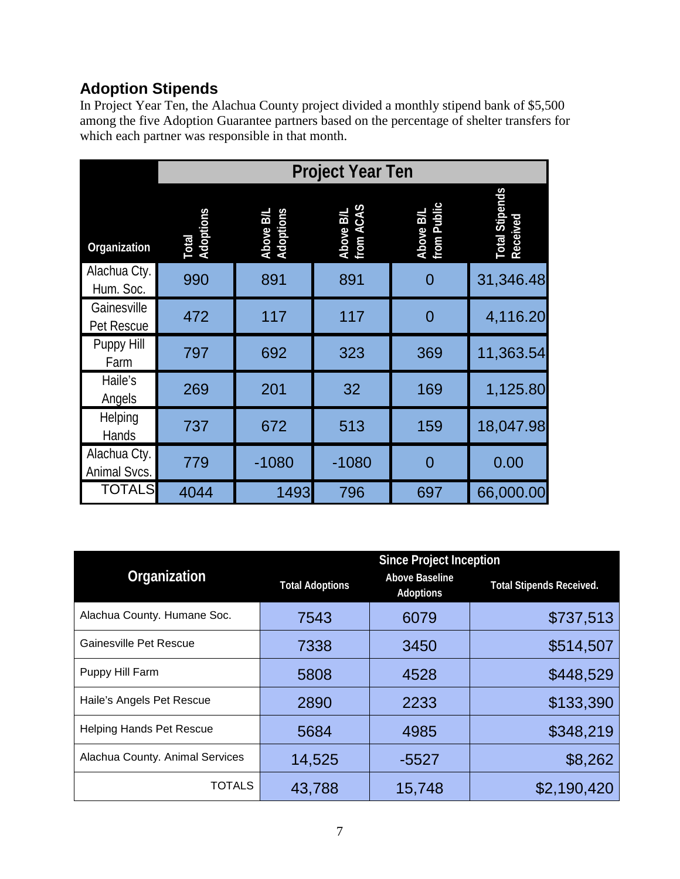# **Adoption Stipends**

In Project Year Ten, the Alachua County project divided a monthly stipend bank of \$5,500 among the five Adoption Guarantee partners based on the percentage of shelter transfers for which each partner was responsible in that month.

|                              | <b>Project Year Ten</b> |                        |                        |                          |                                   |  |  |  |  |
|------------------------------|-------------------------|------------------------|------------------------|--------------------------|-----------------------------------|--|--|--|--|
| Organization                 | Total<br>Adoptions      | Above B/L<br>Adoptions | Above B/L<br>from ACAS | Above B/L<br>from Public | <b>Total Stipends</b><br>Received |  |  |  |  |
| Alachua Cty.<br>Hum. Soc.    | 990                     | 891                    | 891                    | 0                        | 31,346.48                         |  |  |  |  |
| Gainesville<br>Pet Rescue    | 472                     | 117                    | 117                    | $\overline{0}$           | 4,116.20                          |  |  |  |  |
| Puppy Hill<br>Farm           | 797                     | 692                    | 323                    | 369                      | 11,363.54                         |  |  |  |  |
| Haile's<br>Angels            | 269                     | 201                    | 32                     | 169                      | 1,125.80                          |  |  |  |  |
| Helping<br>Hands             | 737                     | 672                    | 513                    | 159                      | 18,047.98                         |  |  |  |  |
| Alachua Cty.<br>Animal Svcs. | 779                     | $-1080$                | $-1080$                | 0                        | 0.00                              |  |  |  |  |
| <b>TOTALS</b>                | 4044                    | 1493                   | 796                    | 697                      | 66,000.00                         |  |  |  |  |

|                                 |                        | <b>Since Project Inception</b>     |                                 |  |
|---------------------------------|------------------------|------------------------------------|---------------------------------|--|
| Organization                    | <b>Total Adoptions</b> | <b>Above Baseline</b><br>Adoptions | <b>Total Stipends Received.</b> |  |
| Alachua County. Humane Soc.     | 7543                   | 6079                               | \$737,513                       |  |
| Gainesville Pet Rescue          | 7338                   | 3450                               | \$514,507                       |  |
| Puppy Hill Farm                 | 5808                   | 4528                               | \$448,529                       |  |
| Haile's Angels Pet Rescue       | 2890                   | 2233                               | \$133,390                       |  |
| <b>Helping Hands Pet Rescue</b> | 5684                   | 4985                               | \$348,219                       |  |
| Alachua County. Animal Services | 14,525                 | $-5527$                            | \$8,262                         |  |
| TOTALS                          | 43,788                 | 15,748                             | \$2,190,420                     |  |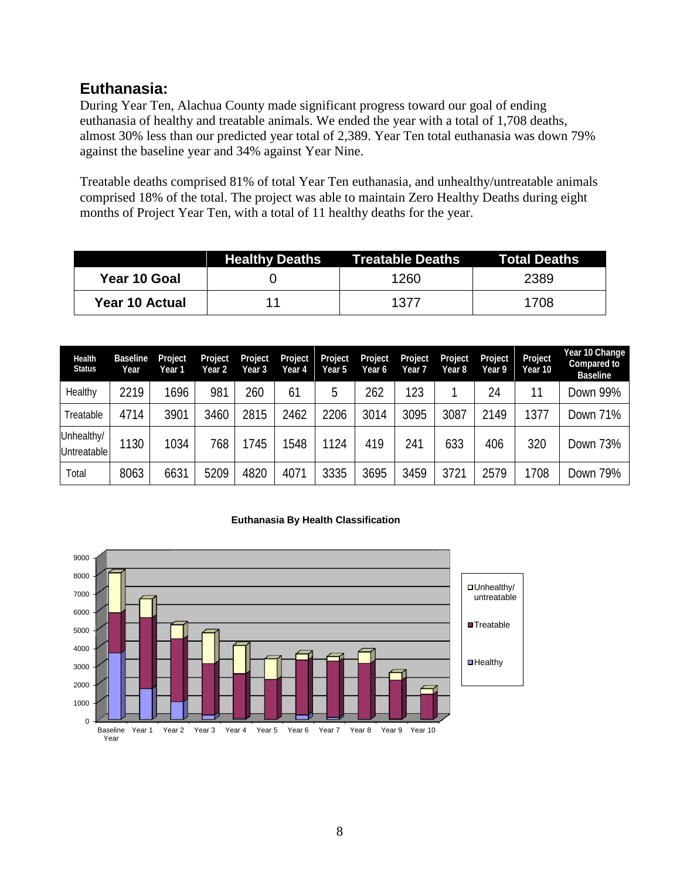### **Euthanasia:**

During Year Ten, Alachua County made significant progress toward our goal of ending euthanasia of healthy and treatable animals. We ended the year with a total of 1,708 deaths, almost 30% less than our predicted year total of 2,389. Year Ten total euthanasia was down 79% against the baseline year and 34% against Year Nine.

Treatable deaths comprised 81% of total Year Ten euthanasia, and unhealthy/untreatable animals comprised 18% of the total. The project was able to maintain Zero Healthy Deaths during eight months of Project Year Ten, with a total of 11 healthy deaths for the year.

|                | <b>Healthy Deaths</b> | Treatable Deaths | Total Deaths |
|----------------|-----------------------|------------------|--------------|
| Year 10 Goal   |                       | 1260             | 2389         |
| Year 10 Actual | 11                    | 1377             | 1708         |

| <b>Health</b><br><b>Status</b>   | <b>Baseline</b><br>Year | Project<br>Year 1 | Project<br>Year <sub>2</sub> | Project<br>Year 3 | Project<br>Year 4 | Project<br>Year 5 | Project<br>Year 6 | Project<br>Year 7 | Project<br>Year 8 | Project<br>Year 9 | Project<br>Year 10 | Year 10 Change<br>Compared to<br><b>Baseline</b> |
|----------------------------------|-------------------------|-------------------|------------------------------|-------------------|-------------------|-------------------|-------------------|-------------------|-------------------|-------------------|--------------------|--------------------------------------------------|
| Healthy                          | 2219                    | 1696              | 981                          | 260               | 6 <sup>1</sup>    | 5                 | 262               | 123               |                   | 24                | 11                 | Down 99%                                         |
| Treatable                        | 4714                    | 3901              | 3460                         | 2815              | 2462              | 2206              | 3014              | 3095              | 3087              | 2149              | 1377               | Down 71%                                         |
| Unhealthy/<br><b>Untreatable</b> | 1130                    | 1034              | 768                          | 745               | 548               | 1124              | 419               | 241               | 633               | 406               | 320                | Down 73%                                         |
| Total                            | 8063                    | 6631              | 5209                         | 4820              | 4071              | 3335              | 3695              | 3459              | 3721              | 2579              | 1708               | Down 79%                                         |

#### **Euthanasia By Health Classification**

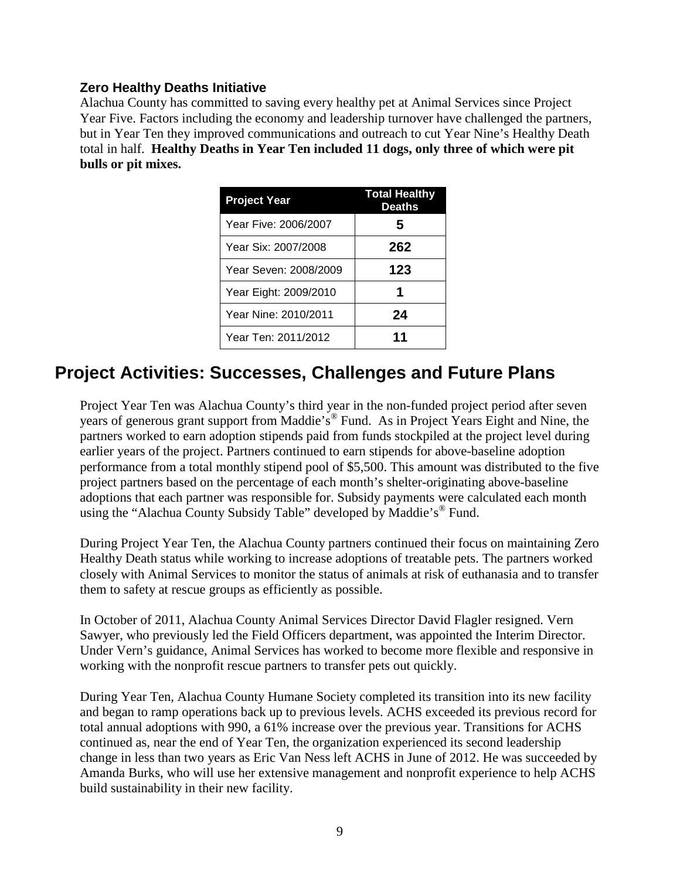#### **Zero Healthy Deaths Initiative**

Alachua County has committed to saving every healthy pet at Animal Services since Project Year Five. Factors including the economy and leadership turnover have challenged the partners, but in Year Ten they improved communications and outreach to cut Year Nine's Healthy Death total in half. **Healthy Deaths in Year Ten included 11 dogs, only three of which were pit bulls or pit mixes.**

| <b>Project Year</b>   | <b>Total Healthy</b><br><b>Deaths</b> |
|-----------------------|---------------------------------------|
| Year Five: 2006/2007  | 5                                     |
| Year Six: 2007/2008   | 262                                   |
| Year Seven: 2008/2009 | 123                                   |
| Year Eight: 2009/2010 | 1                                     |
| Year Nine: 2010/2011  | 24                                    |
| Year Ten: 2011/2012   | 11                                    |

# **Project Activities: Successes, Challenges and Future Plans**

Project Year Ten was Alachua County's third year in the non-funded project period after seven years of generous grant support from Maddie's® Fund. As in Project Years Eight and Nine, the partners worked to earn adoption stipends paid from funds stockpiled at the project level during earlier years of the project. Partners continued to earn stipends for above-baseline adoption performance from a total monthly stipend pool of \$5,500. This amount was distributed to the five project partners based on the percentage of each month's shelter-originating above-baseline adoptions that each partner was responsible for. Subsidy payments were calculated each month using the "Alachua County Subsidy Table" developed by Maddie's<sup>®</sup> Fund.

During Project Year Ten, the Alachua County partners continued their focus on maintaining Zero Healthy Death status while working to increase adoptions of treatable pets. The partners worked closely with Animal Services to monitor the status of animals at risk of euthanasia and to transfer them to safety at rescue groups as efficiently as possible.

In October of 2011, Alachua County Animal Services Director David Flagler resigned. Vern Sawyer, who previously led the Field Officers department, was appointed the Interim Director. Under Vern's guidance, Animal Services has worked to become more flexible and responsive in working with the nonprofit rescue partners to transfer pets out quickly.

During Year Ten, Alachua County Humane Society completed its transition into its new facility and began to ramp operations back up to previous levels. ACHS exceeded its previous record for total annual adoptions with 990, a 61% increase over the previous year. Transitions for ACHS continued as, near the end of Year Ten, the organization experienced its second leadership change in less than two years as Eric Van Ness left ACHS in June of 2012. He was succeeded by Amanda Burks, who will use her extensive management and nonprofit experience to help ACHS build sustainability in their new facility.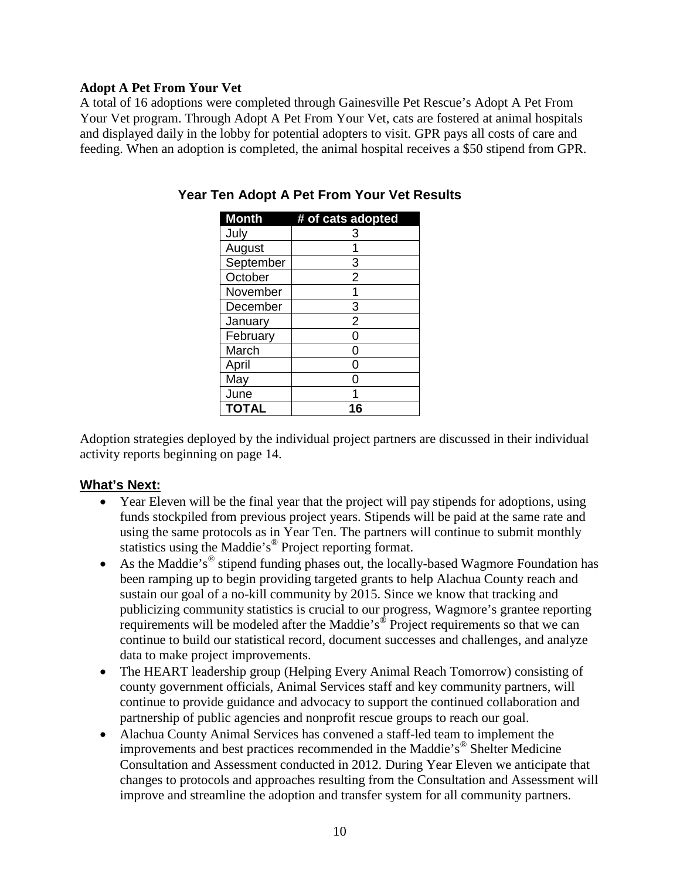#### **Adopt A Pet From Your Vet**

A total of 16 adoptions were completed through Gainesville Pet Rescue's Adopt A Pet From Your Vet program. Through Adopt A Pet From Your Vet, cats are fostered at animal hospitals and displayed daily in the lobby for potential adopters to visit. GPR pays all costs of care and feeding. When an adoption is completed, the animal hospital receives a \$50 stipend from GPR.

| <b>Month</b> | # of cats adopted |
|--------------|-------------------|
| July         | 3                 |
| August       |                   |
| September    | 3                 |
| October      | $\overline{2}$    |
| November     | 1                 |
| December     | 3                 |
| January      | $\overline{2}$    |
| February     | ი                 |
| March        | ი                 |
| April        | ი                 |
| May          | Π                 |
| June         |                   |
| <b>TOTAL</b> |                   |

**Year Ten Adopt A Pet From Your Vet Results**

Adoption strategies deployed by the individual project partners are discussed in their individual activity reports beginning on page 14.

#### **What's Next:**

- Year Eleven will be the final year that the project will pay stipends for adoptions, using funds stockpiled from previous project years. Stipends will be paid at the same rate and using the same protocols as in Year Ten. The partners will continue to submit monthly statistics using the Maddie's<sup>®</sup> Project reporting format.
- As the Maddie's<sup>®</sup> stipend funding phases out, the locally-based Wagmore Foundation has been ramping up to begin providing targeted grants to help Alachua County reach and sustain our goal of a no-kill community by 2015. Since we know that tracking and publicizing community statistics is crucial to our progress, Wagmore's grantee reporting requirements will be modeled after the Maddie's<sup>®</sup> Project requirements so that we can continue to build our statistical record, document successes and challenges, and analyze data to make project improvements.
- The HEART leadership group (Helping Every Animal Reach Tomorrow) consisting of county government officials, Animal Services staff and key community partners, will continue to provide guidance and advocacy to support the continued collaboration and partnership of public agencies and nonprofit rescue groups to reach our goal.
- Alachua County Animal Services has convened a staff-led team to implement the improvements and best practices recommended in the Maddie's® Shelter Medicine Consultation and Assessment conducted in 2012. During Year Eleven we anticipate that changes to protocols and approaches resulting from the Consultation and Assessment will improve and streamline the adoption and transfer system for all community partners.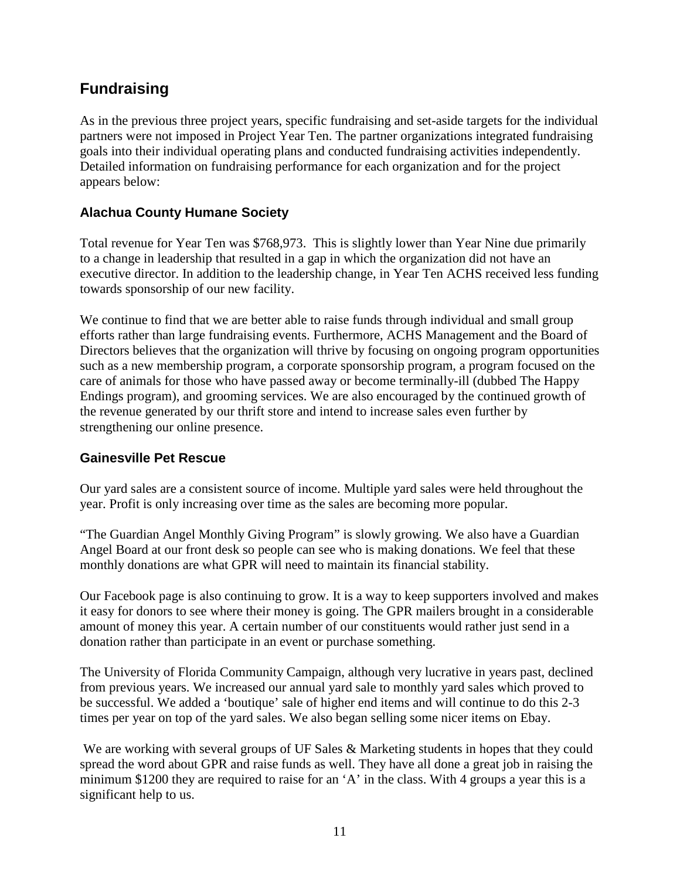## **Fundraising**

As in the previous three project years, specific fundraising and set-aside targets for the individual partners were not imposed in Project Year Ten. The partner organizations integrated fundraising goals into their individual operating plans and conducted fundraising activities independently. Detailed information on fundraising performance for each organization and for the project appears below:

### **Alachua County Humane Society**

Total revenue for Year Ten was \$768,973. This is slightly lower than Year Nine due primarily to a change in leadership that resulted in a gap in which the organization did not have an executive director. In addition to the leadership change, in Year Ten ACHS received less funding towards sponsorship of our new facility.

We continue to find that we are better able to raise funds through individual and small group efforts rather than large fundraising events. Furthermore, ACHS Management and the Board of Directors believes that the organization will thrive by focusing on ongoing program opportunities such as a new membership program, a corporate sponsorship program, a program focused on the care of animals for those who have passed away or become terminally-ill (dubbed The Happy Endings program), and grooming services. We are also encouraged by the continued growth of the revenue generated by our thrift store and intend to increase sales even further by strengthening our online presence.

### **Gainesville Pet Rescue**

Our yard sales are a consistent source of income. Multiple yard sales were held throughout the year. Profit is only increasing over time as the sales are becoming more popular.

"The Guardian Angel Monthly Giving Program" is slowly growing. We also have a Guardian Angel Board at our front desk so people can see who is making donations. We feel that these monthly donations are what GPR will need to maintain its financial stability.

Our Facebook page is also continuing to grow. It is a way to keep supporters involved and makes it easy for donors to see where their money is going. The GPR mailers brought in a considerable amount of money this year. A certain number of our constituents would rather just send in a donation rather than participate in an event or purchase something.

The University of Florida Community Campaign, although very lucrative in years past, declined from previous years. We increased our annual yard sale to monthly yard sales which proved to be successful. We added a 'boutique' sale of higher end items and will continue to do this 2-3 times per year on top of the yard sales. We also began selling some nicer items on Ebay.

We are working with several groups of UF Sales & Marketing students in hopes that they could spread the word about GPR and raise funds as well. They have all done a great job in raising the minimum \$1200 they are required to raise for an 'A' in the class. With 4 groups a year this is a significant help to us.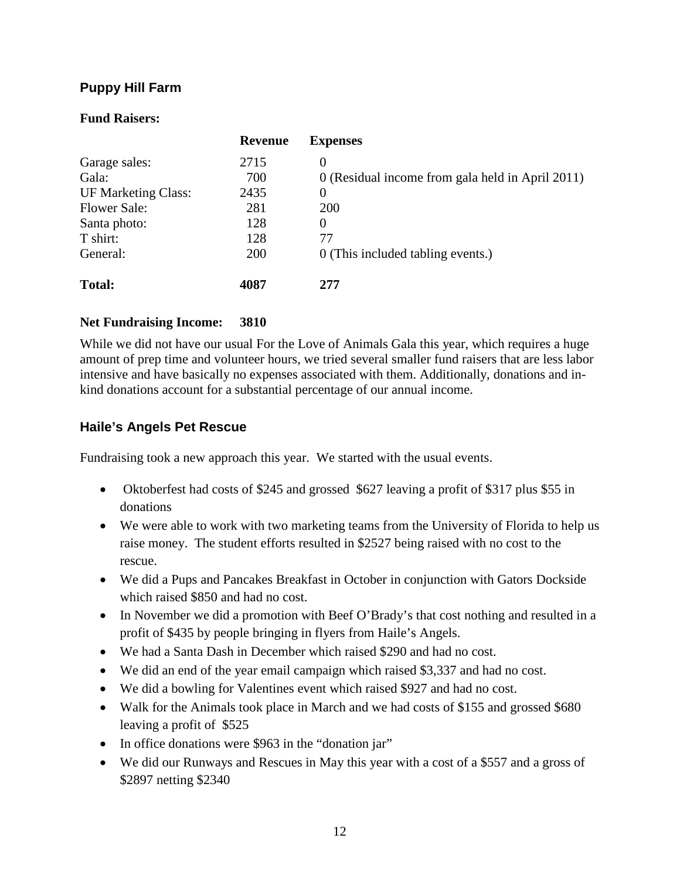### **Puppy Hill Farm**

#### **Fund Raisers:**

|                            | <b>Revenue</b> | <b>Expenses</b>                                  |
|----------------------------|----------------|--------------------------------------------------|
| Garage sales:              | 2715           | $\theta$                                         |
| Gala:                      | 700            | 0 (Residual income from gala held in April 2011) |
| <b>UF Marketing Class:</b> | 2435           | $\Omega$                                         |
| <b>Flower Sale:</b>        | 281            | 200                                              |
| Santa photo:               | 128            | $\Omega$                                         |
| T shirt:                   | 128            | 77                                               |
| General:                   | 200            | 0 (This included tabling events.)                |
| <b>Total:</b>              | 4087           | 277                                              |

#### **Net Fundraising Income: 3810**

While we did not have our usual For the Love of Animals Gala this year, which requires a huge amount of prep time and volunteer hours, we tried several smaller fund raisers that are less labor intensive and have basically no expenses associated with them. Additionally, donations and inkind donations account for a substantial percentage of our annual income.

#### **Haile's Angels Pet Rescue**

Fundraising took a new approach this year. We started with the usual events.

- Oktoberfest had costs of \$245 and grossed \$627 leaving a profit of \$317 plus \$55 in donations
- We were able to work with two marketing teams from the University of Florida to help us raise money. The student efforts resulted in \$2527 being raised with no cost to the rescue.
- We did a Pups and Pancakes Breakfast in October in conjunction with Gators Dockside which raised \$850 and had no cost.
- In November we did a promotion with Beef O'Brady's that cost nothing and resulted in a profit of \$435 by people bringing in flyers from Haile's Angels.
- We had a Santa Dash in December which raised \$290 and had no cost.
- We did an end of the year email campaign which raised \$3,337 and had no cost.
- We did a bowling for Valentines event which raised \$927 and had no cost.
- Walk for the Animals took place in March and we had costs of \$155 and grossed \$680 leaving a profit of \$525
- In office donations were \$963 in the "donation jar"
- We did our Runways and Rescues in May this year with a cost of a \$557 and a gross of \$2897 netting \$2340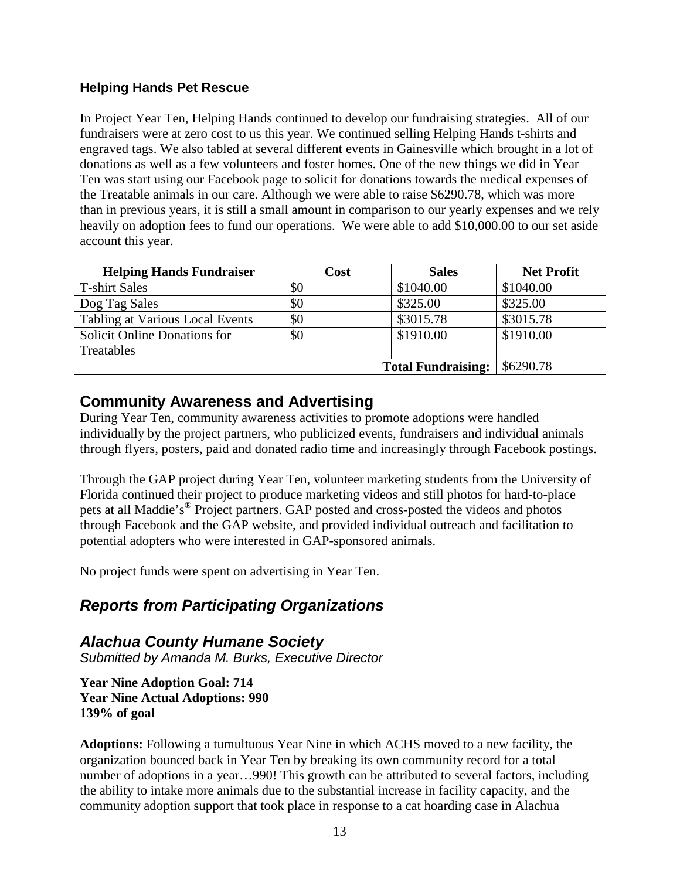### **Helping Hands Pet Rescue**

In Project Year Ten, Helping Hands continued to develop our fundraising strategies. All of our fundraisers were at zero cost to us this year. We continued selling Helping Hands t-shirts and engraved tags. We also tabled at several different events in Gainesville which brought in a lot of donations as well as a few volunteers and foster homes. One of the new things we did in Year Ten was start using our Facebook page to solicit for donations towards the medical expenses of the Treatable animals in our care. Although we were able to raise \$6290.78, which was more than in previous years, it is still a small amount in comparison to our yearly expenses and we rely heavily on adoption fees to fund our operations. We were able to add \$10,000.00 to our set aside account this year.

| <b>Helping Hands Fundraiser</b> | Cost                                   | <b>Sales</b> | <b>Net Profit</b> |
|---------------------------------|----------------------------------------|--------------|-------------------|
| <b>T-shirt Sales</b>            | \$0                                    | \$1040.00    | \$1040.00         |
| Dog Tag Sales                   | \$0                                    | \$325.00     | \$325.00          |
| Tabling at Various Local Events | \$0                                    | \$3015.78    | \$3015.78         |
| Solicit Online Donations for    | \$0                                    | \$1910.00    | \$1910.00         |
| Treatables                      |                                        |              |                   |
|                                 | \$6290.78<br><b>Total Fundraising:</b> |              |                   |

### **Community Awareness and Advertising**

During Year Ten, community awareness activities to promote adoptions were handled individually by the project partners, who publicized events, fundraisers and individual animals through flyers, posters, paid and donated radio time and increasingly through Facebook postings.

Through the GAP project during Year Ten, volunteer marketing students from the University of Florida continued their project to produce marketing videos and still photos for hard-to-place pets at all Maddie's® Project partners. GAP posted and cross-posted the videos and photos through Facebook and the GAP website, and provided individual outreach and facilitation to potential adopters who were interested in GAP-sponsored animals.

No project funds were spent on advertising in Year Ten.

## *Reports from Participating Organizations*

*Alachua County Humane Society Submitted by Amanda M. Burks, Executive Director*

**Year Nine Adoption Goal: 714 Year Nine Actual Adoptions: 990 139% of goal**

**Adoptions:** Following a tumultuous Year Nine in which ACHS moved to a new facility, the organization bounced back in Year Ten by breaking its own community record for a total number of adoptions in a year...990! This growth can be attributed to several factors, including the ability to intake more animals due to the substantial increase in facility capacity, and the community adoption support that took place in response to a cat hoarding case in Alachua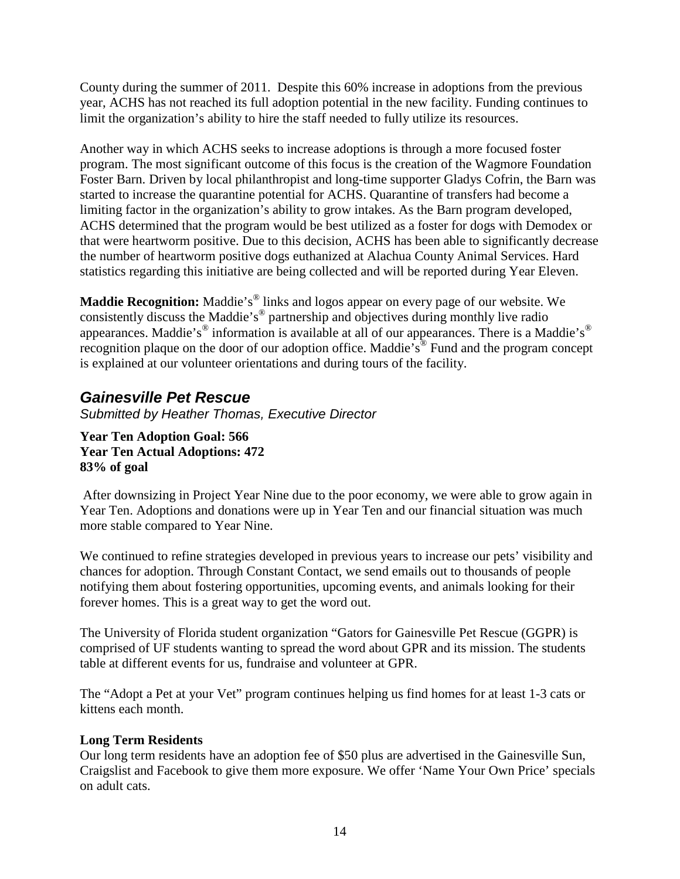County during the summer of 2011. Despite this 60% increase in adoptions from the previous year, ACHS has not reached its full adoption potential in the new facility. Funding continues to limit the organization's ability to hire the staff needed to fully utilize its resources.

Another way in which ACHS seeks to increase adoptions is through a more focused foster program. The most significant outcome of this focus is the creation of the Wagmore Foundation Foster Barn. Driven by local philanthropist and long-time supporter Gladys Cofrin, the Barn was started to increase the quarantine potential for ACHS. Quarantine of transfers had become a limiting factor in the organization's ability to grow intakes. As the Barn program developed, ACHS determined that the program would be best utilized as a foster for dogs with Demodex or that were heartworm positive. Due to this decision, ACHS has been able to significantly decrease the number of heartworm positive dogs euthanized at Alachua County Animal Services. Hard statistics regarding this initiative are being collected and will be reported during Year Eleven.

**Maddie Recognition:** Maddie's<sup>®</sup> links and logos appear on every page of our website. We consistently discuss the Maddie's<sup>®</sup> partnership and objectives during monthly live radio appearances. Maddie's<sup>®</sup> information is available at all of our appearances. There is a Maddie's<sup>®</sup> recognition plaque on the door of our adoption office. Maddie's® Fund and the program concept is explained at our volunteer orientations and during tours of the facility.

## *Gainesville Pet Rescue*

*Submitted by Heather Thomas, Executive Director*

**Year Ten Adoption Goal: 566 Year Ten Actual Adoptions: 472 83% of goal**

After downsizing in Project Year Nine due to the poor economy, we were able to grow again in Year Ten. Adoptions and donations were up in Year Ten and our financial situation was much more stable compared to Year Nine.

We continued to refine strategies developed in previous years to increase our pets' visibility and chances for adoption. Through Constant Contact, we send emails out to thousands of people notifying them about fostering opportunities, upcoming events, and animals looking for their forever homes. This is a great way to get the word out.

The University of Florida student organization "Gators for Gainesville Pet Rescue (GGPR) is comprised of UF students wanting to spread the word about GPR and its mission. The students table at different events for us, fundraise and volunteer at GPR.

The "Adopt a Pet at your Vet" program continues helping us find homes for at least 1-3 cats or kittens each month.

#### **Long Term Residents**

Our long term residents have an adoption fee of \$50 plus are advertised in the Gainesville Sun, Craigslist and Facebook to give them more exposure. We offer 'Name Your Own Price' specials on adult cats.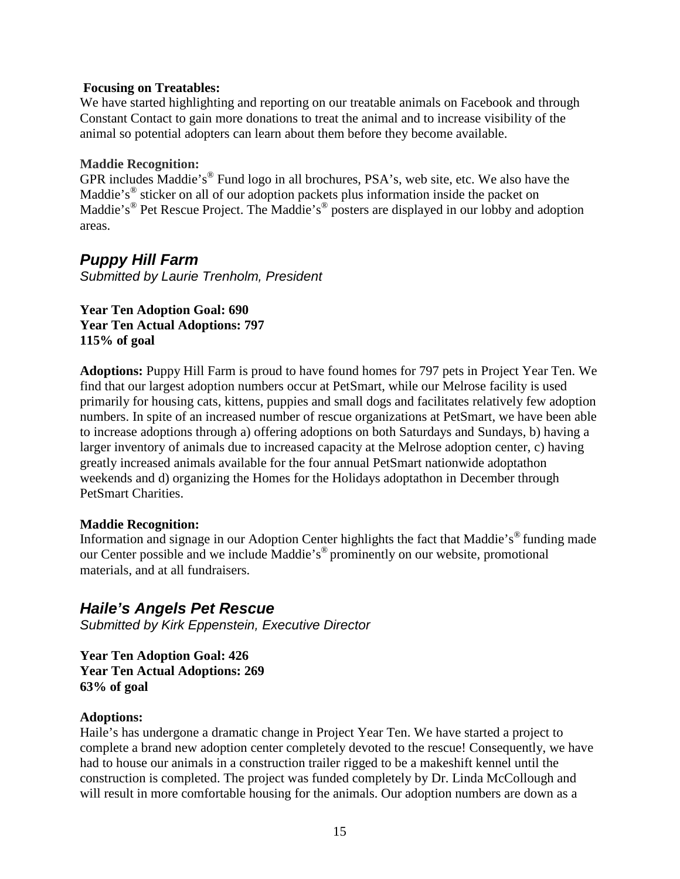#### **Focusing on Treatables:**

We have started highlighting and reporting on our treatable animals on Facebook and through Constant Contact to gain more donations to treat the animal and to increase visibility of the animal so potential adopters can learn about them before they become available.

#### **Maddie Recognition:**

GPR includes Maddie's® Fund logo in all brochures, PSA's, web site, etc. We also have the Maddie's<sup>®</sup> sticker on all of our adoption packets plus information inside the packet on Maddie's<sup>®</sup> Pet Rescue Project. The Maddie's<sup>®</sup> posters are displayed in our lobby and adoption areas.

### *Puppy Hill Farm*

*Submitted by Laurie Trenholm, President*

#### **Year Ten Adoption Goal: 690 Year Ten Actual Adoptions: 797 115% of goal**

**Adoptions:** Puppy Hill Farm is proud to have found homes for 797 pets in Project Year Ten. We find that our largest adoption numbers occur at PetSmart, while our Melrose facility is used primarily for housing cats, kittens, puppies and small dogs and facilitates relatively few adoption numbers. In spite of an increased number of rescue organizations at PetSmart, we have been able to increase adoptions through a) offering adoptions on both Saturdays and Sundays, b) having a larger inventory of animals due to increased capacity at the Melrose adoption center, c) having greatly increased animals available for the four annual PetSmart nationwide adoptathon weekends and d) organizing the Homes for the Holidays adoptathon in December through PetSmart Charities.

#### **Maddie Recognition:**

Information and signage in our Adoption Center highlights the fact that Maddie's® funding made our Center possible and we include Maddie's® prominently on our website, promotional materials, and at all fundraisers.

### *Haile's Angels Pet Rescue*

*Submitted by Kirk Eppenstein, Executive Director*

**Year Ten Adoption Goal: 426 Year Ten Actual Adoptions: 269 63% of goal**

#### **Adoptions:**

Haile's has undergone a dramatic change in Project Year Ten. We have started a project to complete a brand new adoption center completely devoted to the rescue! Consequently, we have had to house our animals in a construction trailer rigged to be a makeshift kennel until the construction is completed. The project was funded completely by Dr. Linda McCollough and will result in more comfortable housing for the animals. Our adoption numbers are down as a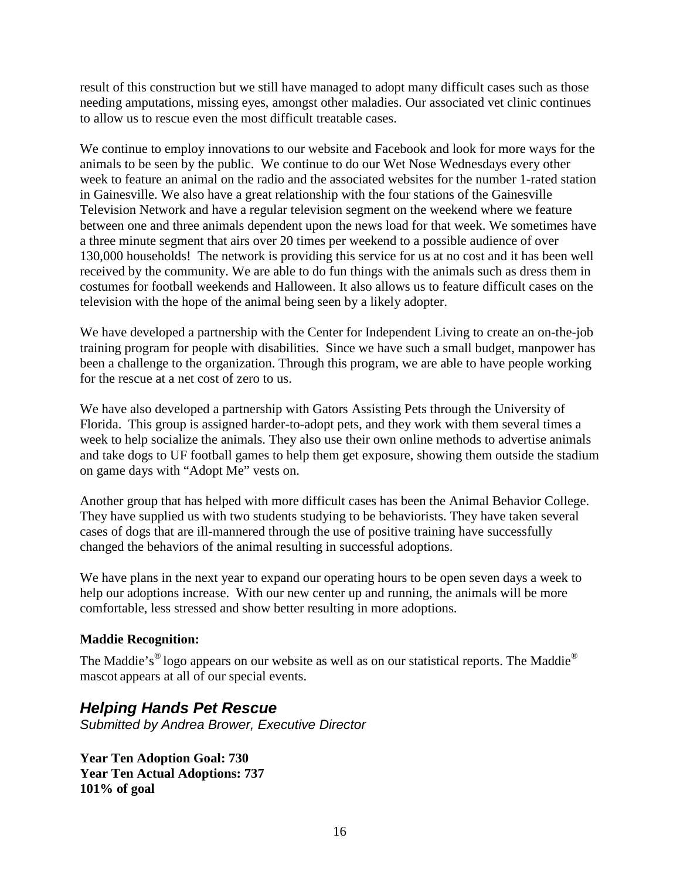result of this construction but we still have managed to adopt many difficult cases such as those needing amputations, missing eyes, amongst other maladies. Our associated vet clinic continues to allow us to rescue even the most difficult treatable cases.

We continue to employ innovations to our website and Facebook and look for more ways for the animals to be seen by the public. We continue to do our Wet Nose Wednesdays every other week to feature an animal on the radio and the associated websites for the number 1-rated station in Gainesville. We also have a great relationship with the four stations of the Gainesville Television Network and have a regular television segment on the weekend where we feature between one and three animals dependent upon the news load for that week. We sometimes have a three minute segment that airs over 20 times per weekend to a possible audience of over 130,000 households! The network is providing this service for us at no cost and it has been well received by the community. We are able to do fun things with the animals such as dress them in costumes for football weekends and Halloween. It also allows us to feature difficult cases on the television with the hope of the animal being seen by a likely adopter.

We have developed a partnership with the Center for Independent Living to create an on-the-job training program for people with disabilities. Since we have such a small budget, manpower has been a challenge to the organization. Through this program, we are able to have people working for the rescue at a net cost of zero to us.

We have also developed a partnership with Gators Assisting Pets through the University of Florida. This group is assigned harder-to-adopt pets, and they work with them several times a week to help socialize the animals. They also use their own online methods to advertise animals and take dogs to UF football games to help them get exposure, showing them outside the stadium on game days with "Adopt Me" vests on.

Another group that has helped with more difficult cases has been the Animal Behavior College. They have supplied us with two students studying to be behaviorists. They have taken several cases of dogs that are ill-mannered through the use of positive training have successfully changed the behaviors of the animal resulting in successful adoptions.

We have plans in the next year to expand our operating hours to be open seven days a week to help our adoptions increase. With our new center up and running, the animals will be more comfortable, less stressed and show better resulting in more adoptions.

#### **Maddie Recognition:**

The Maddie's<sup>®</sup> logo appears on our website as well as on our statistical reports. The Maddie<sup>®</sup> mascot appears at all of our special events.

### *Helping Hands Pet Rescue*

*Submitted by Andrea Brower, Executive Director*

**Year Ten Adoption Goal: 730 Year Ten Actual Adoptions: 737 101% of goal**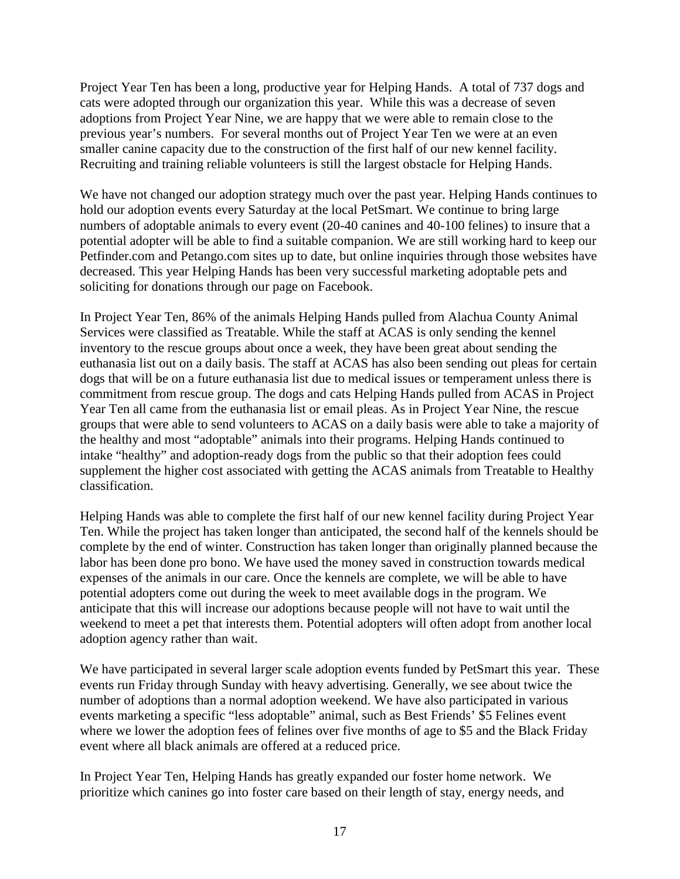Project Year Ten has been a long, productive year for Helping Hands. A total of 737 dogs and cats were adopted through our organization this year. While this was a decrease of seven adoptions from Project Year Nine, we are happy that we were able to remain close to the previous year's numbers. For several months out of Project Year Ten we were at an even smaller canine capacity due to the construction of the first half of our new kennel facility. Recruiting and training reliable volunteers is still the largest obstacle for Helping Hands.

We have not changed our adoption strategy much over the past year. Helping Hands continues to hold our adoption events every Saturday at the local PetSmart. We continue to bring large numbers of adoptable animals to every event (20-40 canines and 40-100 felines) to insure that a potential adopter will be able to find a suitable companion. We are still working hard to keep our Petfinder.com and Petango.com sites up to date, but online inquiries through those websites have decreased. This year Helping Hands has been very successful marketing adoptable pets and soliciting for donations through our page on Facebook.

In Project Year Ten, 86% of the animals Helping Hands pulled from Alachua County Animal Services were classified as Treatable. While the staff at ACAS is only sending the kennel inventory to the rescue groups about once a week, they have been great about sending the euthanasia list out on a daily basis. The staff at ACAS has also been sending out pleas for certain dogs that will be on a future euthanasia list due to medical issues or temperament unless there is commitment from rescue group. The dogs and cats Helping Hands pulled from ACAS in Project Year Ten all came from the euthanasia list or email pleas. As in Project Year Nine, the rescue groups that were able to send volunteers to ACAS on a daily basis were able to take a majority of the healthy and most "adoptable" animals into their programs. Helping Hands continued to intake "healthy" and adoption-ready dogs from the public so that their adoption fees could supplement the higher cost associated with getting the ACAS animals from Treatable to Healthy classification.

Helping Hands was able to complete the first half of our new kennel facility during Project Year Ten. While the project has taken longer than anticipated, the second half of the kennels should be complete by the end of winter. Construction has taken longer than originally planned because the labor has been done pro bono. We have used the money saved in construction towards medical expenses of the animals in our care. Once the kennels are complete, we will be able to have potential adopters come out during the week to meet available dogs in the program. We anticipate that this will increase our adoptions because people will not have to wait until the weekend to meet a pet that interests them. Potential adopters will often adopt from another local adoption agency rather than wait.

We have participated in several larger scale adoption events funded by PetSmart this year. These events run Friday through Sunday with heavy advertising. Generally, we see about twice the number of adoptions than a normal adoption weekend. We have also participated in various events marketing a specific "less adoptable" animal, such as Best Friends' \$5 Felines event where we lower the adoption fees of felines over five months of age to \$5 and the Black Friday event where all black animals are offered at a reduced price.

In Project Year Ten, Helping Hands has greatly expanded our foster home network. We prioritize which canines go into foster care based on their length of stay, energy needs, and